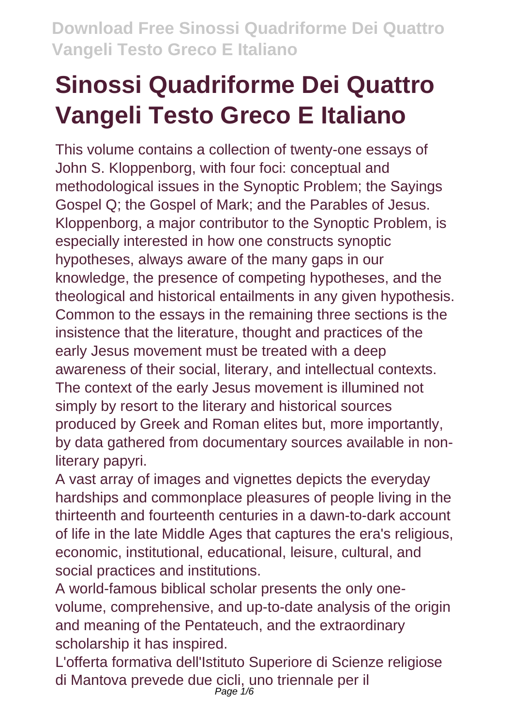# **Sinossi Quadriforme Dei Quattro Vangeli Testo Greco E Italiano**

This volume contains a collection of twenty-one essays of John S. Kloppenborg, with four foci: conceptual and methodological issues in the Synoptic Problem; the Sayings Gospel Q; the Gospel of Mark; and the Parables of Jesus. Kloppenborg, a major contributor to the Synoptic Problem, is especially interested in how one constructs synoptic hypotheses, always aware of the many gaps in our knowledge, the presence of competing hypotheses, and the theological and historical entailments in any given hypothesis. Common to the essays in the remaining three sections is the insistence that the literature, thought and practices of the early Jesus movement must be treated with a deep awareness of their social, literary, and intellectual contexts. The context of the early Jesus movement is illumined not simply by resort to the literary and historical sources produced by Greek and Roman elites but, more importantly, by data gathered from documentary sources available in nonliterary papyri.

A vast array of images and vignettes depicts the everyday hardships and commonplace pleasures of people living in the thirteenth and fourteenth centuries in a dawn-to-dark account of life in the late Middle Ages that captures the era's religious, economic, institutional, educational, leisure, cultural, and social practices and institutions.

A world-famous biblical scholar presents the only onevolume, comprehensive, and up-to-date analysis of the origin and meaning of the Pentateuch, and the extraordinary scholarship it has inspired.

L'offerta formativa dell'Istituto Superiore di Scienze religiose di Mantova prevede due cicli, uno triennale per il Page 1/6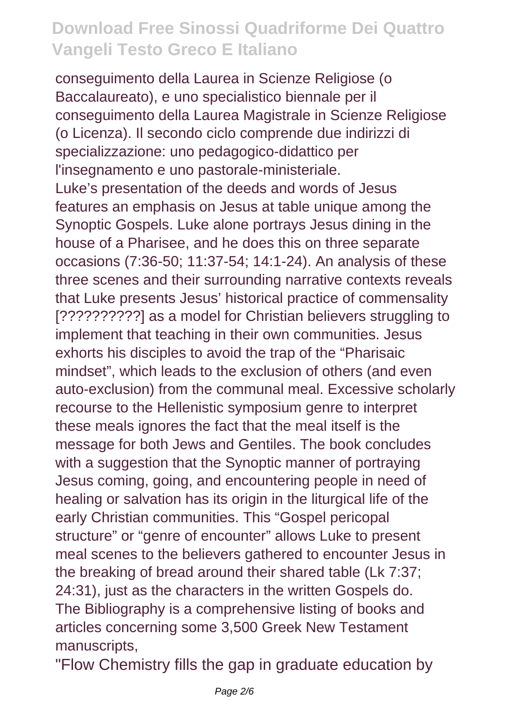conseguimento della Laurea in Scienze Religiose (o Baccalaureato), e uno specialistico biennale per il conseguimento della Laurea Magistrale in Scienze Religiose (o Licenza). Il secondo ciclo comprende due indirizzi di specializzazione: uno pedagogico-didattico per l'insegnamento e uno pastorale-ministeriale. Luke's presentation of the deeds and words of Jesus features an emphasis on Jesus at table unique among the Synoptic Gospels. Luke alone portrays Jesus dining in the house of a Pharisee, and he does this on three separate occasions (7:36-50; 11:37-54; 14:1-24). An analysis of these three scenes and their surrounding narrative contexts reveals that Luke presents Jesus' historical practice of commensality [??????????] as a model for Christian believers struggling to implement that teaching in their own communities. Jesus exhorts his disciples to avoid the trap of the "Pharisaic mindset", which leads to the exclusion of others (and even auto-exclusion) from the communal meal. Excessive scholarly recourse to the Hellenistic symposium genre to interpret these meals ignores the fact that the meal itself is the message for both Jews and Gentiles. The book concludes with a suggestion that the Synoptic manner of portraying Jesus coming, going, and encountering people in need of healing or salvation has its origin in the liturgical life of the early Christian communities. This "Gospel pericopal structure" or "genre of encounter" allows Luke to present meal scenes to the believers gathered to encounter Jesus in the breaking of bread around their shared table (Lk 7:37; 24:31), just as the characters in the written Gospels do. The Bibliography is a comprehensive listing of books and articles concerning some 3,500 Greek New Testament manuscripts,

"Flow Chemistry fills the gap in graduate education by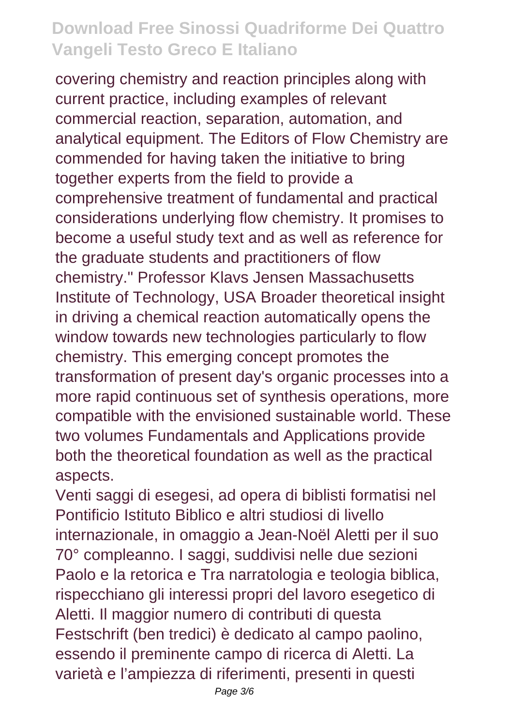covering chemistry and reaction principles along with current practice, including examples of relevant commercial reaction, separation, automation, and analytical equipment. The Editors of Flow Chemistry are commended for having taken the initiative to bring together experts from the field to provide a comprehensive treatment of fundamental and practical considerations underlying flow chemistry. It promises to become a useful study text and as well as reference for the graduate students and practitioners of flow chemistry." Professor Klavs Jensen Massachusetts Institute of Technology, USA Broader theoretical insight in driving a chemical reaction automatically opens the window towards new technologies particularly to flow chemistry. This emerging concept promotes the transformation of present day's organic processes into a more rapid continuous set of synthesis operations, more compatible with the envisioned sustainable world. These two volumes Fundamentals and Applications provide both the theoretical foundation as well as the practical aspects.

Venti saggi di esegesi, ad opera di biblisti formatisi nel Pontificio Istituto Biblico e altri studiosi di livello internazionale, in omaggio a Jean-Noël Aletti per il suo 70° compleanno. I saggi, suddivisi nelle due sezioni Paolo e la retorica e Tra narratologia e teologia biblica, rispecchiano gli interessi propri del lavoro esegetico di Aletti. Il maggior numero di contributi di questa Festschrift (ben tredici) è dedicato al campo paolino, essendo il preminente campo di ricerca di Aletti. La varietà e l'ampiezza di riferimenti, presenti in questi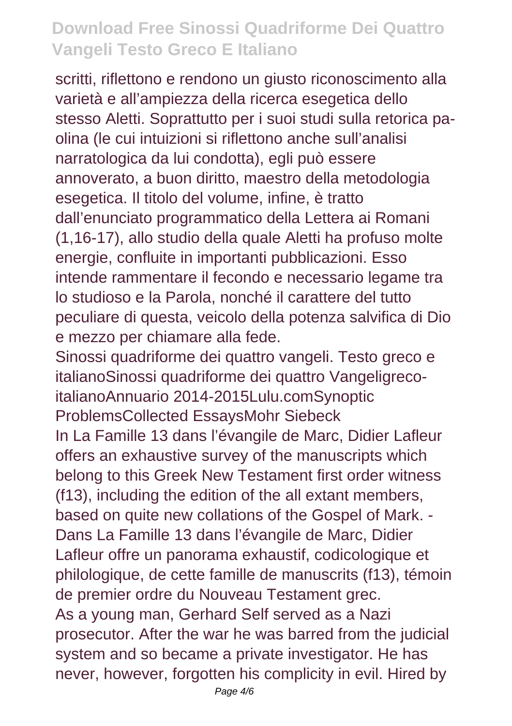scritti, riflettono e rendono un giusto riconoscimento alla varietà e all'ampiezza della ricerca esegetica dello stesso Aletti. Soprattutto per i suoi studi sulla retorica paolina (le cui intuizioni si riflettono anche sull'analisi narratologica da lui condotta), egli può essere annoverato, a buon diritto, maestro della metodologia esegetica. Il titolo del volume, infine, è tratto dall'enunciato programmatico della Lettera ai Romani (1,16-17), allo studio della quale Aletti ha profuso molte energie, confluite in importanti pubblicazioni. Esso intende rammentare il fecondo e necessario legame tra lo studioso e la Parola, nonché il carattere del tutto peculiare di questa, veicolo della potenza salvifica di Dio e mezzo per chiamare alla fede.

Sinossi quadriforme dei quattro vangeli. Testo greco e italianoSinossi quadriforme dei quattro VangeligrecoitalianoAnnuario 2014-2015Lulu.comSynoptic ProblemsCollected EssaysMohr Siebeck In La Famille 13 dans l'évangile de Marc, Didier Lafleur offers an exhaustive survey of the manuscripts which belong to this Greek New Testament first order witness (f13), including the edition of the all extant members, based on quite new collations of the Gospel of Mark. - Dans La Famille 13 dans l'évangile de Marc, Didier Lafleur offre un panorama exhaustif, codicologique et philologique, de cette famille de manuscrits (f13), témoin de premier ordre du Nouveau Testament grec. As a young man, Gerhard Self served as a Nazi prosecutor. After the war he was barred from the judicial system and so became a private investigator. He has never, however, forgotten his complicity in evil. Hired by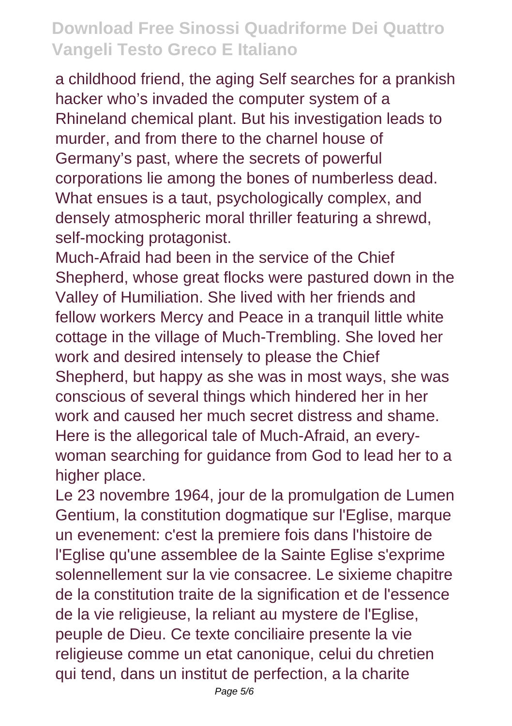a childhood friend, the aging Self searches for a prankish hacker who's invaded the computer system of a Rhineland chemical plant. But his investigation leads to murder, and from there to the charnel house of Germany's past, where the secrets of powerful corporations lie among the bones of numberless dead. What ensues is a taut, psychologically complex, and densely atmospheric moral thriller featuring a shrewd, self-mocking protagonist.

Much-Afraid had been in the service of the Chief Shepherd, whose great flocks were pastured down in the Valley of Humiliation. She lived with her friends and fellow workers Mercy and Peace in a tranquil little white cottage in the village of Much-Trembling. She loved her work and desired intensely to please the Chief Shepherd, but happy as she was in most ways, she was conscious of several things which hindered her in her work and caused her much secret distress and shame. Here is the allegorical tale of Much-Afraid, an everywoman searching for guidance from God to lead her to a higher place.

Le 23 novembre 1964, jour de la promulgation de Lumen Gentium, la constitution dogmatique sur l'Eglise, marque un evenement: c'est la premiere fois dans l'histoire de l'Eglise qu'une assemblee de la Sainte Eglise s'exprime solennellement sur la vie consacree. Le sixieme chapitre de la constitution traite de la signification et de l'essence de la vie religieuse, la reliant au mystere de l'Eglise, peuple de Dieu. Ce texte conciliaire presente la vie religieuse comme un etat canonique, celui du chretien qui tend, dans un institut de perfection, a la charite